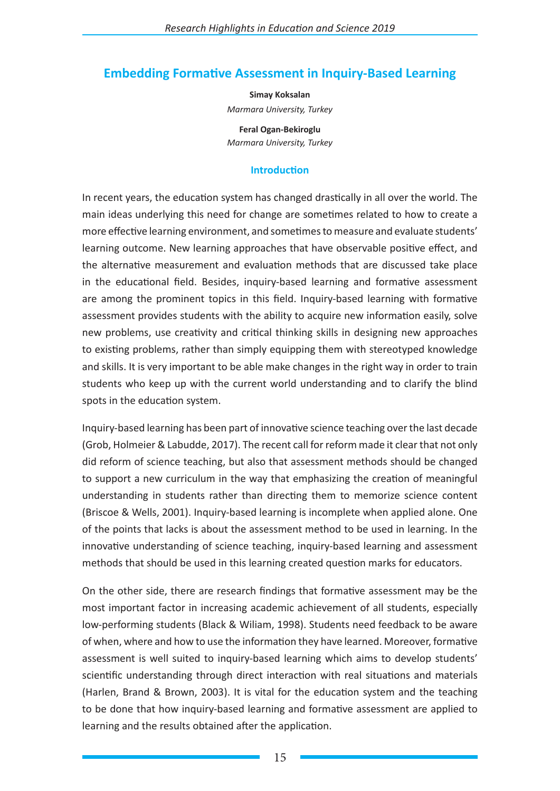# **Embedding Formative Assessment in Inquiry-Based Learning**

**Simay Koksalan** *Marmara University, Turkey*

**Feral Ogan-Bekiroglu** *Marmara University, Turkey*

## **Introduction**

In recent years, the education system has changed drastically in all over the world. The main ideas underlying this need for change are sometimes related to how to create a more effective learning environment, and sometimes to measure and evaluate students' learning outcome. New learning approaches that have observable positive effect, and the alternative measurement and evaluation methods that are discussed take place in the educational field. Besides, inquiry-based learning and formative assessment are among the prominent topics in this field. Inquiry-based learning with formative assessment provides students with the ability to acquire new information easily, solve new problems, use creativity and critical thinking skills in designing new approaches to existing problems, rather than simply equipping them with stereotyped knowledge and skills. It is very important to be able make changes in the right way in order to train students who keep up with the current world understanding and to clarify the blind spots in the education system.

Inquiry-based learning has been part of innovative science teaching over the last decade (Grob, Holmeier & Labudde, 2017). The recent call for reform made it clear that not only did reform of science teaching, but also that assessment methods should be changed to support a new curriculum in the way that emphasizing the creation of meaningful understanding in students rather than directing them to memorize science content (Briscoe & Wells, 2001). Inquiry-based learning is incomplete when applied alone. One of the points that lacks is about the assessment method to be used in learning. In the innovative understanding of science teaching, inquiry-based learning and assessment methods that should be used in this learning created question marks for educators.

On the other side, there are research findings that formative assessment may be the most important factor in increasing academic achievement of all students, especially low-performing students (Black & Wiliam, 1998). Students need feedback to be aware of when, where and how to use the information they have learned. Moreover, formative assessment is well suited to inquiry-based learning which aims to develop students' scientific understanding through direct interaction with real situations and materials (Harlen, Brand & Brown, 2003). It is vital for the education system and the teaching to be done that how inquiry-based learning and formative assessment are applied to learning and the results obtained after the application.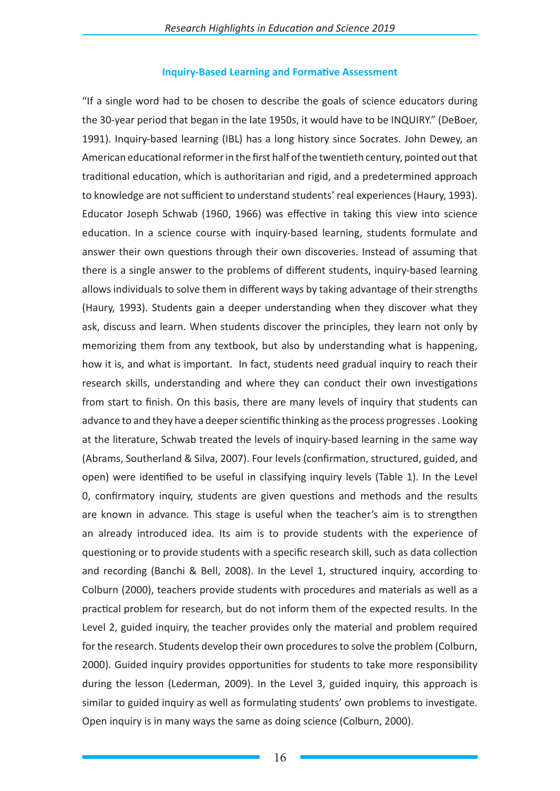### **Inquiry-Based Learning and Formative Assessment**

"If a single word had to be chosen to describe the goals of science educators during the 30-year period that began in the late 1950s, it would have to be INQUIRY." (DeBoer, 1991). Inquiry-based learning (IBL) has a long history since Socrates. John Dewey, an American educational reformer in the first half of the twentieth century, pointed out that traditional education, which is authoritarian and rigid, and a predetermined approach to knowledge are not sufficient to understand students' real experiences (Haury, 1993). Educator Joseph Schwab (1960, 1966) was effective in taking this view into science education. In a science course with inquiry-based learning, students formulate and answer their own questions through their own discoveries. Instead of assuming that there is a single answer to the problems of different students, inquiry-based learning allows individuals to solve them in different ways by taking advantage of their strengths (Haury, 1993). Students gain a deeper understanding when they discover what they ask, discuss and learn. When students discover the principles, they learn not only by memorizing them from any textbook, but also by understanding what is happening, how it is, and what is important. In fact, students need gradual inquiry to reach their research skills, understanding and where they can conduct their own investigations from start to finish. On this basis, there are many levels of inquiry that students can advance to and they have a deeper scientific thinking as the process progresses . Looking at the literature, Schwab treated the levels of inquiry-based learning in the same way (Abrams, Southerland & Silva, 2007). Four levels (confirmation, structured, guided, and open) were identified to be useful in classifying inquiry levels (Table 1). In the Level 0, confirmatory inquiry, students are given questions and methods and the results are known in advance. This stage is useful when the teacher's aim is to strengthen an already introduced idea. Its aim is to provide students with the experience of questioning or to provide students with a specific research skill, such as data collection and recording (Banchi & Bell, 2008). In the Level 1, structured inquiry, according to Colburn (2000), teachers provide students with procedures and materials as well as a practical problem for research, but do not inform them of the expected results. In the Level 2, guided inquiry, the teacher provides only the material and problem required for the research. Students develop their own procedures to solve the problem (Colburn, 2000). Guided inquiry provides opportunities for students to take more responsibility during the lesson (Lederman, 2009). In the Level 3, guided inquiry, this approach is similar to guided inquiry as well as formulating students' own problems to investigate. Open inquiry is in many ways the same as doing science (Colburn, 2000).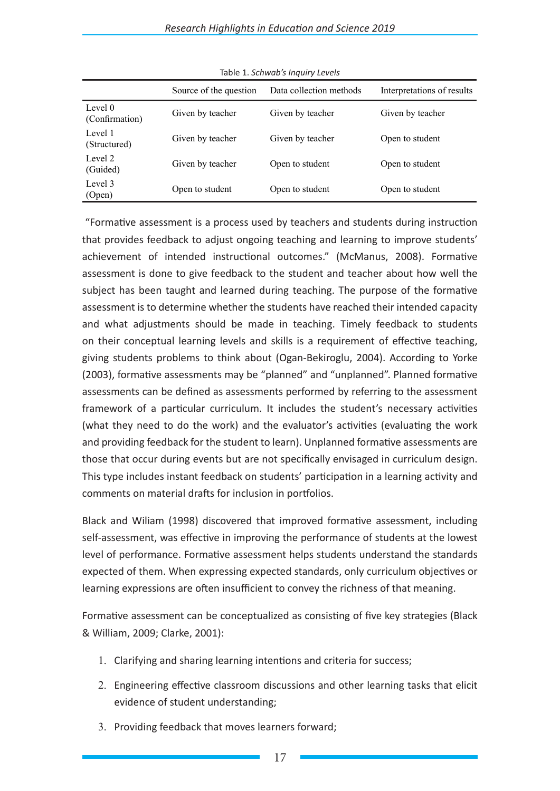|                           | Source of the question | Data collection methods | Interpretations of results |
|---------------------------|------------------------|-------------------------|----------------------------|
| Level 0<br>(Confirmation) | Given by teacher       | Given by teacher        | Given by teacher           |
| Level 1<br>(Structured)   | Given by teacher       | Given by teacher        | Open to student            |
| Level 2<br>(Guided)       | Given by teacher       | Open to student         | Open to student            |
| Level 3<br>(Open)         | Open to student        | Open to student         | Open to student            |

Table 1. *Schwab's Inquiry Levels*

 "Formative assessment is a process used by teachers and students during instruction that provides feedback to adjust ongoing teaching and learning to improve students' achievement of intended instructional outcomes." (McManus, 2008). Formative assessment is done to give feedback to the student and teacher about how well the subject has been taught and learned during teaching. The purpose of the formative assessment is to determine whether the students have reached their intended capacity and what adjustments should be made in teaching. Timely feedback to students on their conceptual learning levels and skills is a requirement of effective teaching, giving students problems to think about (Ogan-Bekiroglu, 2004). According to Yorke (2003), formative assessments may be "planned" and "unplanned". Planned formative assessments can be defined as assessments performed by referring to the assessment framework of a particular curriculum. It includes the student's necessary activities (what they need to do the work) and the evaluator's activities (evaluating the work and providing feedback for the student to learn). Unplanned formative assessments are those that occur during events but are not specifically envisaged in curriculum design. This type includes instant feedback on students' participation in a learning activity and comments on material drafts for inclusion in portfolios.

Black and Wiliam (1998) discovered that improved formative assessment, including self-assessment, was effective in improving the performance of students at the lowest level of performance. Formative assessment helps students understand the standards expected of them. When expressing expected standards, only curriculum objectives or learning expressions are often insufficient to convey the richness of that meaning.

Formative assessment can be conceptualized as consisting of five key strategies (Black & William, 2009; Clarke, 2001):

- 1. Clarifying and sharing learning intentions and criteria for success;
- 2. Engineering effective classroom discussions and other learning tasks that elicit evidence of student understanding;
- 3. Providing feedback that moves learners forward;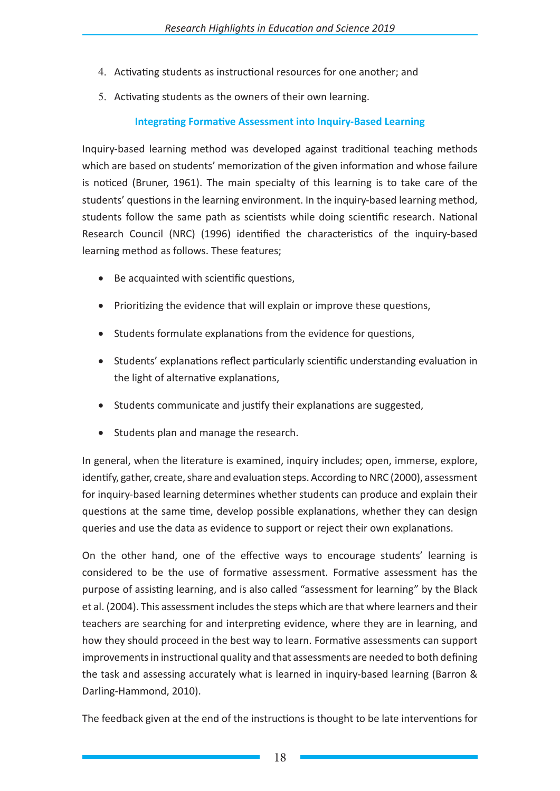- 4. Activating students as instructional resources for one another; and
- 5. Activating students as the owners of their own learning.

# **Integrating Formative Assessment into Inquiry-Based Learning**

Inquiry-based learning method was developed against traditional teaching methods which are based on students' memorization of the given information and whose failure is noticed (Bruner, 1961). The main specialty of this learning is to take care of the students' questions in the learning environment. In the inquiry-based learning method, students follow the same path as scientists while doing scientific research. National Research Council (NRC) (1996) identified the characteristics of the inquiry-based learning method as follows. These features;

- Be acquainted with scientific questions,
- Prioritizing the evidence that will explain or improve these questions,
- Students formulate explanations from the evidence for questions,
- Students' explanations reflect particularly scientific understanding evaluation in the light of alternative explanations,
- Students communicate and justify their explanations are suggested,
- • Students plan and manage the research.

In general, when the literature is examined, inquiry includes; open, immerse, explore, identify, gather, create, share and evaluation steps. According to NRC (2000), assessment for inquiry-based learning determines whether students can produce and explain their questions at the same time, develop possible explanations, whether they can design queries and use the data as evidence to support or reject their own explanations.

On the other hand, one of the effective ways to encourage students' learning is considered to be the use of formative assessment. Formative assessment has the purpose of assisting learning, and is also called "assessment for learning" by the Black et al. (2004). This assessment includes the steps which are that where learners and their teachers are searching for and interpreting evidence, where they are in learning, and how they should proceed in the best way to learn. Formative assessments can support improvements in instructional quality and that assessments are needed to both defining the task and assessing accurately what is learned in inquiry-based learning (Barron & Darling-Hammond, 2010).

The feedback given at the end of the instructions is thought to be late interventions for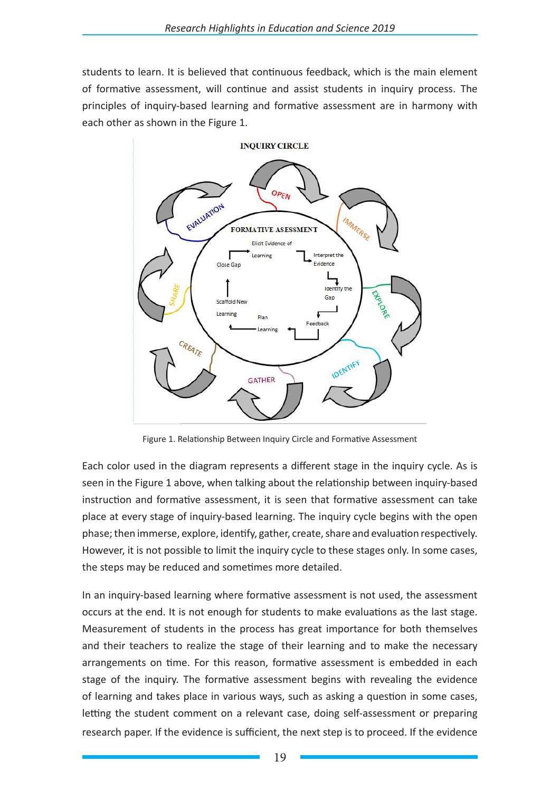students to learn. It is believed that continuous feedback, which is the main element of formative assessment, will continue and assist students in inquiry process. The principles of inquiry-based learning and formative assessment are in harmony with each other as shown in the Figure 1.



Figure 1. Relationship Between Inquiry Circle and Formative Assessment

Each color used in the diagram represents a different stage in the inquiry cycle. As is seen in the Figure 1 above, when talking about the relationship between inquiry-based instruction and formative assessment, it is seen that formative assessment can take place at every stage of inquiry-based learning. The inquiry cycle begins with the open phase; then immerse, explore, identify, gather, create, share and evaluation respectively. However, it is not possible to limit the inquiry cycle to these stages only. In some cases, the steps may be reduced and sometimes more detailed.

In an inquiry-based learning where formative assessment is not used, the assessment occurs at the end. It is not enough for students to make evaluations as the last stage. Measurement of students in the process has great importance for both themselves and their teachers to realize the stage of their learning and to make the necessary arrangements on time. For this reason, formative assessment is embedded in each stage of the inquiry. The formative assessment begins with revealing the evidence of learning and takes place in various ways, such as asking a question in some cases, letting the student comment on a relevant case, doing self-assessment or preparing research paper. If the evidence is sufficient, the next step is to proceed. If the evidence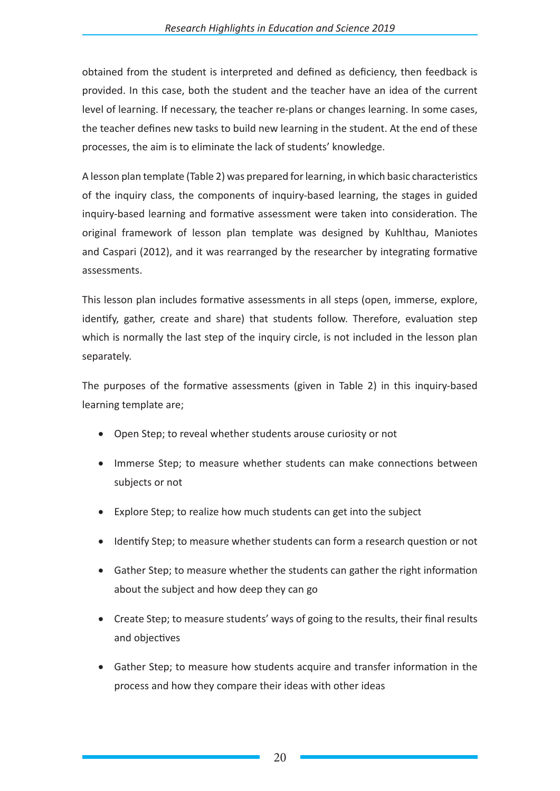obtained from the student is interpreted and defined as deficiency, then feedback is provided. In this case, both the student and the teacher have an idea of the current level of learning. If necessary, the teacher re-plans or changes learning. In some cases, the teacher defines new tasks to build new learning in the student. At the end of these processes, the aim is to eliminate the lack of students' knowledge.

A lesson plan template (Table 2) was prepared for learning, in which basic characteristics of the inquiry class, the components of inquiry-based learning, the stages in guided inquiry-based learning and formative assessment were taken into consideration. The original framework of lesson plan template was designed by Kuhlthau, Maniotes and Caspari (2012), and it was rearranged by the researcher by integrating formative assessments.

This lesson plan includes formative assessments in all steps (open, immerse, explore, identify, gather, create and share) that students follow. Therefore, evaluation step which is normally the last step of the inquiry circle, is not included in the lesson plan separately.

The purposes of the formative assessments (given in Table 2) in this inquiry-based learning template are;

- Open Step; to reveal whether students arouse curiosity or not
- Immerse Step; to measure whether students can make connections between subjects or not
- Explore Step; to realize how much students can get into the subject
- Identify Step; to measure whether students can form a research question or not
- Gather Step; to measure whether the students can gather the right information about the subject and how deep they can go
- Create Step; to measure students' ways of going to the results, their final results and objectives
- Gather Step; to measure how students acquire and transfer information in the process and how they compare their ideas with other ideas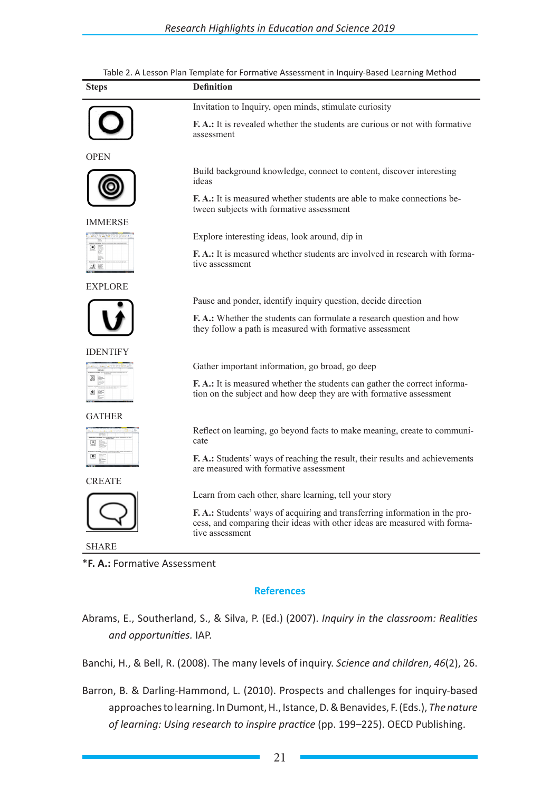| <b>Steps</b>   | <b>Definition</b>                                                                                                                                                          |  |  |
|----------------|----------------------------------------------------------------------------------------------------------------------------------------------------------------------------|--|--|
|                | Invitation to Inquiry, open minds, stimulate curiosity                                                                                                                     |  |  |
|                | <b>F.A.:</b> It is revealed whether the students are curious or not with formative<br>assessment                                                                           |  |  |
| <b>OPEN</b>    |                                                                                                                                                                            |  |  |
|                | Build background knowledge, connect to content, discover interesting<br>ideas                                                                                              |  |  |
|                | <b>F.A.:</b> It is measured whether students are able to make connections be-<br>tween subjects with formative assessment                                                  |  |  |
| IMMERSE        |                                                                                                                                                                            |  |  |
| $\blacksquare$ | Explore interesting ideas, look around, dip in                                                                                                                             |  |  |
| $\omega =$     | F.A.: It is measured whether students are involved in research with forma-<br>tive assessment                                                                              |  |  |
| <b>EXPLORE</b> |                                                                                                                                                                            |  |  |
|                | Pause and ponder, identify inquiry question, decide direction                                                                                                              |  |  |
|                | <b>F.A.:</b> Whether the students can formulate a research question and how<br>they follow a path is measured with formative assessment                                    |  |  |
| IDENTIFY       |                                                                                                                                                                            |  |  |
|                | Gather important information, go broad, go deep                                                                                                                            |  |  |
|                | F.A.: It is measured whether the students can gather the correct informa-<br>tion on the subject and how deep they are with formative assessment                           |  |  |
| GATHER         |                                                                                                                                                                            |  |  |
| <br>◉          | Reflect on learning, go beyond facts to make meaning, create to communi-<br>cate                                                                                           |  |  |
|                | <b>F.A.:</b> Students' ways of reaching the result, their results and achievements<br>are measured with formative assessment                                               |  |  |
| <b>CREATE</b>  |                                                                                                                                                                            |  |  |
|                | Learn from each other, share learning, tell your story                                                                                                                     |  |  |
|                | F.A.: Students' ways of acquiring and transferring information in the pro-<br>cess, and comparing their ideas with other ideas are measured with forma-<br>tive assessment |  |  |
| SHARE          |                                                                                                                                                                            |  |  |

### Table 2. A Lesson Plan Template for Formative Assessment in Inquiry-Based Learning Method

\***F. A.:** Formative Assessment

#### **References**

Abrams, E., Southerland, S., & Silva, P. (Ed.) (2007). *Inquiry in the classroom: Realities and opportunities.* IAP.

Banchi, H., & Bell, R. (2008). The many levels of inquiry. *Science and children*, *46*(2), 26.

Barron, B. & Darling-Hammond, L. (2010). Prospects and challenges for inquiry-based approaches to learning. In Dumont, H., Istance, D. & Benavides, F. (Eds.), *The nature of learning: Using research to inspire practice* (pp. 199–225). OECD Publishing.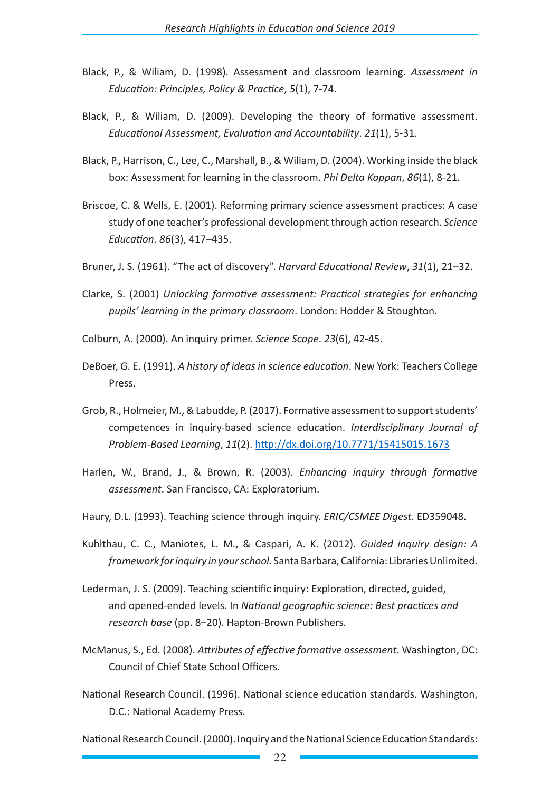- Black, P., & Wiliam, D. (1998). Assessment and classroom learning. *Assessment in Education: Principles, Policy & Practice*, *5*(1), 7-74.
- Black, P., & Wiliam, D. (2009). Developing the theory of formative assessment. *Educational Assessment, Evaluation and Accountability*. *21*(1), 5-31.
- Black, P., Harrison, C., Lee, C., Marshall, B., & Wiliam, D. (2004). Working inside the black box: Assessment for learning in the classroom. *Phi Delta Kappan*, *86*(1), 8-21.
- Briscoe, C. & Wells, E. (2001). Reforming primary science assessment practices: A case study of one teacher's professional development through action research. *Science Education*. *86*(3), 417–435.
- Bruner, J. S. (1961). "The act of discovery". *Harvard Educational Review*, *31*(1), 21–32.
- Clarke, S. (2001) *Unlocking formative assessment: Practical strategies for enhancing pupils' learning in the primary classroom*. London: Hodder & Stoughton.
- Colburn, A. (2000). An inquiry primer. *Science Scope*. *23*(6), 42-45.
- DeBoer, G. E. (1991). *A history of ideas in science education*. New York: Teachers College Press.
- Grob, R., Holmeier, M., & Labudde, P. (2017). Formative assessment to support students' competences in inquiry-based science education. *Interdisciplinary Journal of Problem-Based Learning*, *11*(2). http://dx.doi.org/10.7771/15415015.1673
- Harlen, W., Brand, J., & Brown, R. (2003). *Enhancing inquiry through formative assessment*. San Francisco, CA: Exploratorium.
- Haury, D.L. (1993). Teaching science through inquiry. *ERIC/CSMEE Digest*. ED359048.
- Kuhlthau, C. C., Maniotes, L. M., & Caspari, A. K. (2012). *Guided inquiry design: A framework for inquiry in your school.* Santa Barbara, California: Libraries Unlimited.
- Lederman, J. S. (2009). Teaching scientific inquiry: Exploration, directed, guided, and opened-ended levels. In *National geographic science: Best practices and research base* (pp. 8–20). Hapton-Brown Publishers.
- McManus, S., Ed. (2008). *Attributes of effective formative assessment*. Washington, DC: Council of Chief State School Officers.
- National Research Council. (1996). National science education standards. Washington, D.C.: National Academy Press.

National Research Council. (2000). Inquiry and the National Science Education Standards: